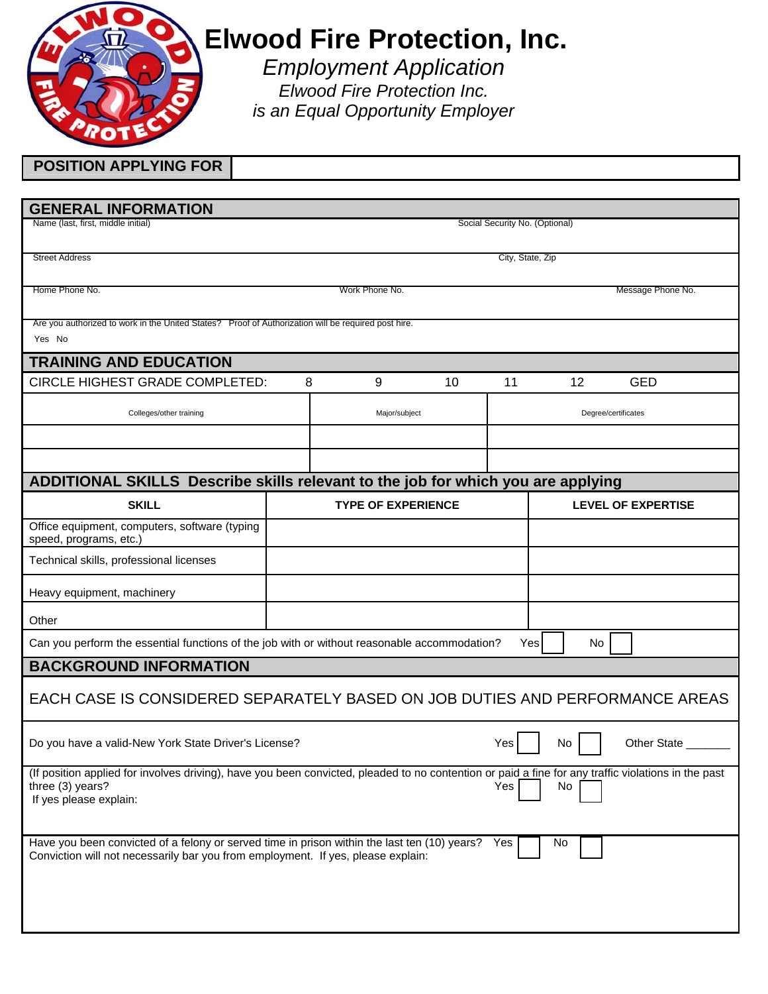

## **Elwood Fire Protection, Inc.**

*Employment Application Elwood Fire Protection Inc. is an Equal Opportunity Employer* 

| <b>POSITION APPLYING FOR</b>                                                                                                                                                                                   |                                                                      |                           |    |    |                           |                   |  |
|----------------------------------------------------------------------------------------------------------------------------------------------------------------------------------------------------------------|----------------------------------------------------------------------|---------------------------|----|----|---------------------------|-------------------|--|
|                                                                                                                                                                                                                |                                                                      |                           |    |    |                           |                   |  |
| <b>GENERAL INFORMATION</b>                                                                                                                                                                                     |                                                                      |                           |    |    |                           |                   |  |
|                                                                                                                                                                                                                | Name (last, first, middle initial)<br>Social Security No. (Optional) |                           |    |    |                           |                   |  |
| <b>Street Address</b>                                                                                                                                                                                          | City, State, Zip                                                     |                           |    |    |                           |                   |  |
| Home Phone No.                                                                                                                                                                                                 |                                                                      | Work Phone No.            |    |    |                           | Message Phone No. |  |
| Are you authorized to work in the United States? Proof of Authorization will be required post hire.<br>Yes No                                                                                                  |                                                                      |                           |    |    |                           |                   |  |
| <b>TRAINING AND EDUCATION</b>                                                                                                                                                                                  |                                                                      |                           |    |    |                           |                   |  |
| CIRCLE HIGHEST GRADE COMPLETED:                                                                                                                                                                                | 8                                                                    | 9                         | 10 | 11 | 12                        | <b>GED</b>        |  |
| Colleges/other training                                                                                                                                                                                        |                                                                      | Major/subject             |    |    | Degree/certificates       |                   |  |
|                                                                                                                                                                                                                |                                                                      |                           |    |    |                           |                   |  |
|                                                                                                                                                                                                                |                                                                      |                           |    |    |                           |                   |  |
| ADDITIONAL SKILLS Describe skills relevant to the job for which you are applying                                                                                                                               |                                                                      |                           |    |    |                           |                   |  |
| <b>SKILL</b>                                                                                                                                                                                                   |                                                                      | <b>TYPE OF EXPERIENCE</b> |    |    | <b>LEVEL OF EXPERTISE</b> |                   |  |
| Office equipment, computers, software (typing<br>speed, programs, etc.)                                                                                                                                        |                                                                      |                           |    |    |                           |                   |  |
| Technical skills, professional licenses                                                                                                                                                                        |                                                                      |                           |    |    |                           |                   |  |
| Heavy equipment, machinery                                                                                                                                                                                     |                                                                      |                           |    |    |                           |                   |  |
| Other                                                                                                                                                                                                          |                                                                      |                           |    |    |                           |                   |  |
| Can you perform the essential functions of the job with or without reasonable accommodation?<br>Yes<br>No                                                                                                      |                                                                      |                           |    |    |                           |                   |  |
| <b>BACKGROUND INFORMATION</b>                                                                                                                                                                                  |                                                                      |                           |    |    |                           |                   |  |
| EACH CASE IS CONSIDERED SEPARATELY BASED ON JOB DUTIES AND PERFORMANCE AREAS                                                                                                                                   |                                                                      |                           |    |    |                           |                   |  |
| Other State<br>Do you have a valid-New York State Driver's License?<br>Yes<br>No                                                                                                                               |                                                                      |                           |    |    |                           |                   |  |
| (If position applied for involves driving), have you been convicted, pleaded to no contention or paid a fine for any traffic violations in the past<br>three (3) years?<br>Yes<br>No<br>If yes please explain: |                                                                      |                           |    |    |                           |                   |  |
| Have you been convicted of a felony or served time in prison within the last ten (10) years?<br>Yes<br>No<br>Conviction will not necessarily bar you from employment. If yes, please explain:                  |                                                                      |                           |    |    |                           |                   |  |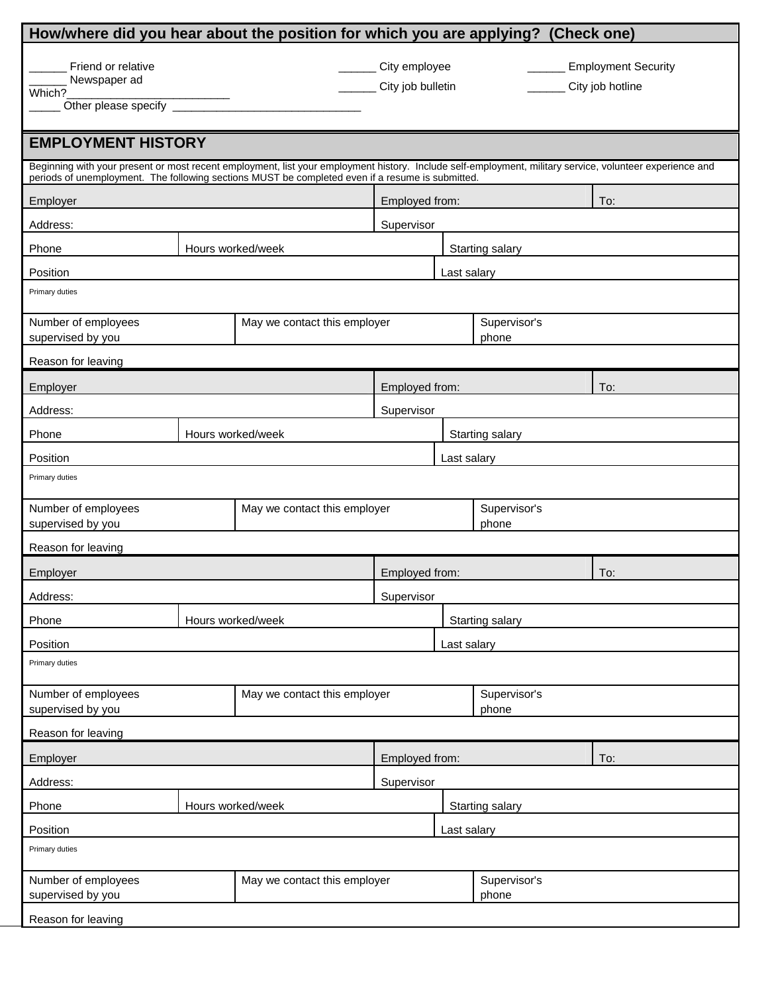| How/where did you hear about the position for which you are applying? (Check one)                                                                                                                                                                            |                            |  |                                            |                 |                                                |     |  |  |
|--------------------------------------------------------------------------------------------------------------------------------------------------------------------------------------------------------------------------------------------------------------|----------------------------|--|--------------------------------------------|-----------------|------------------------------------------------|-----|--|--|
| Friend or relative<br>Newspaper ad<br>Which?                                                                                                                                                                                                                 |                            |  | _______ City employee<br>City job bulletin |                 | <b>Employment Security</b><br>City job hotline |     |  |  |
| <b>EMPLOYMENT HISTORY</b>                                                                                                                                                                                                                                    |                            |  |                                            |                 |                                                |     |  |  |
| Beginning with your present or most recent employment, list your employment history. Include self-employment, military service, volunteer experience and<br>periods of unemployment. The following sections MUST be completed even if a resume is submitted. |                            |  |                                            |                 |                                                |     |  |  |
| Employer                                                                                                                                                                                                                                                     |                            |  | Employed from:                             |                 |                                                | To: |  |  |
| Address:                                                                                                                                                                                                                                                     |                            |  | Supervisor                                 |                 |                                                |     |  |  |
| Phone                                                                                                                                                                                                                                                        | Hours worked/week          |  |                                            | Starting salary |                                                |     |  |  |
| Position                                                                                                                                                                                                                                                     |                            |  | Last salary                                |                 |                                                |     |  |  |
| Primary duties                                                                                                                                                                                                                                               |                            |  |                                            |                 |                                                |     |  |  |
| Number of employees<br>May we contact this employer<br>supervised by you                                                                                                                                                                                     |                            |  | Supervisor's<br>phone                      |                 |                                                |     |  |  |
| Reason for leaving                                                                                                                                                                                                                                           |                            |  |                                            |                 |                                                |     |  |  |
| Employer                                                                                                                                                                                                                                                     |                            |  | Employed from:                             |                 |                                                | To: |  |  |
| Address:                                                                                                                                                                                                                                                     |                            |  | Supervisor                                 |                 |                                                |     |  |  |
| Phone                                                                                                                                                                                                                                                        | Hours worked/week          |  |                                            | Starting salary |                                                |     |  |  |
| Position                                                                                                                                                                                                                                                     |                            |  | Last salary                                |                 |                                                |     |  |  |
| Primary duties                                                                                                                                                                                                                                               |                            |  |                                            |                 |                                                |     |  |  |
| Number of employees<br>May we contact this employer                                                                                                                                                                                                          |                            |  | Supervisor's                               |                 |                                                |     |  |  |
|                                                                                                                                                                                                                                                              | supervised by you<br>phone |  |                                            |                 |                                                |     |  |  |
| Reason for leaving                                                                                                                                                                                                                                           |                            |  |                                            |                 |                                                |     |  |  |
| Employer                                                                                                                                                                                                                                                     |                            |  | Employed from:<br>To:                      |                 |                                                |     |  |  |
| Address:                                                                                                                                                                                                                                                     |                            |  | Supervisor<br>Starting salary              |                 |                                                |     |  |  |
|                                                                                                                                                                                                                                                              | Hours worked/week<br>Phone |  |                                            |                 |                                                |     |  |  |
| Position<br>Last salary<br>Primary duties                                                                                                                                                                                                                    |                            |  |                                            |                 |                                                |     |  |  |
| Number of employees<br>May we contact this employer                                                                                                                                                                                                          |                            |  | Supervisor's                               |                 |                                                |     |  |  |
| supervised by you                                                                                                                                                                                                                                            |                            |  | phone                                      |                 |                                                |     |  |  |
| Reason for leaving                                                                                                                                                                                                                                           |                            |  |                                            |                 |                                                |     |  |  |
| Employed from:<br>Employer                                                                                                                                                                                                                                   |                            |  |                                            |                 |                                                | To: |  |  |
| Address:<br>Supervisor                                                                                                                                                                                                                                       |                            |  |                                            |                 |                                                |     |  |  |
| Hours worked/week<br>Phone                                                                                                                                                                                                                                   |                            |  | Starting salary                            |                 |                                                |     |  |  |
| Position<br>Last salary                                                                                                                                                                                                                                      |                            |  |                                            |                 |                                                |     |  |  |
| Primary duties                                                                                                                                                                                                                                               |                            |  |                                            |                 |                                                |     |  |  |
| Number of employees<br>May we contact this employer<br>supervised by you                                                                                                                                                                                     |                            |  |                                            |                 | Supervisor's<br>phone                          |     |  |  |
| Reason for leaving                                                                                                                                                                                                                                           |                            |  |                                            |                 |                                                |     |  |  |